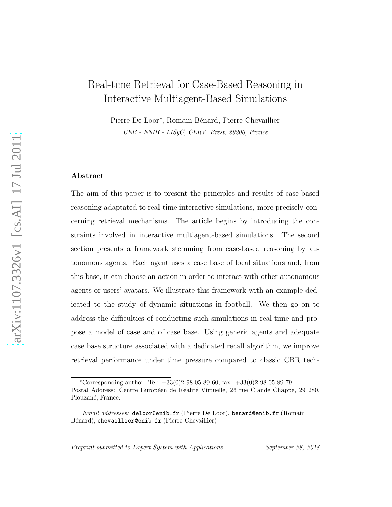# Real-time Retrieval for Case-Based Reasoning in Interactive Multiagent-Based Simulations

Pierre De Loor<sup>\*</sup>, Romain Bénard, Pierre Chevaillier UEB - ENIB - LISyC, CERV, Brest, 29200, France

#### Abstract

The aim of this paper is to present the principles and results of case-based reasoning adaptated to real-time interactive simulations, more precisely concerning retrieval mechanisms. The article begins by introducing the constraints involved in interactive multiagent-based simulations. The second section presents a framework stemming from case-based reasoning by autonomous agents. Each agent uses a case base of local situations and, from this base, it can choose an action in order to interact with other autonomous agents or users' avatars. We illustrate this framework with an example dedicated to the study of dynamic situations in football. We then go on to address the difficulties of conducting such simulations in real-time and propose a model of case and of case base. Using generic agents and adequate case base structure associated with a dedicated recall algorithm, we improve retrieval performance under time pressure compared to classic CBR tech-

Preprint submitted to Expert System with Applications September 28, 2018

<sup>\*</sup>Corresponding author. Tel:  $+33(0)298058960$ ; fax:  $+33(0)298058979$ .

Postal Address: Centre Européen de Réalité Virtuelle, 26 rue Claude Chappe, 29 280, Plouzané, France.

Email addresses: deloor@enib.fr (Pierre De Loor), benard@enib.fr (Romain Bénard), chevaillier@enib.fr (Pierre Chevaillier)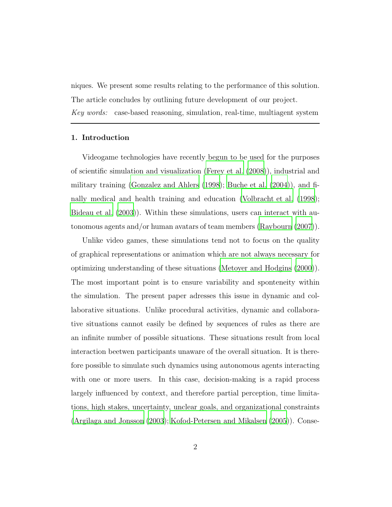niques. We present some results relating to the performance of this solution. The article concludes by outlining future development of our project. *Key words:* case-based reasoning, simulation, real-time, multiagent system

#### 1. Introduction

Videogame technologies have recently begun to be used for the purposes of scientific simulation and visualization [\(Ferey et al. \(2008](#page-21-0))), industrial and military training [\(Gonzalez and Ahlers \(1998](#page-22-0)); [Buche et al. \(2004\)](#page-21-1)), and finally medical and health training and education [\(Volbracht et al. \(1998\)](#page-23-0); [Bideau et al. \(2003\)](#page-20-0)). Within these simulations, users can interact with autonomous agents and/or human avatars of team members [\(Raybourn \(2007](#page-23-1))).

Unlike video games, these simulations tend not to focus on the quality of graphical representations or animation which are not always necessary for optimizing understanding of these situations [\(Metoyer and Hodgins](#page-23-2) [\(2000](#page-23-2))). The most important point is to ensure variability and sponteneity within the simulation. The present paper adresses this issue in dynamic and collaborative situations. Unlike procedural activities, dynamic and collaborative situations cannot easily be defined by sequences of rules as there are an infinite number of possible situations. These situations result from local interaction beetwen participants unaware of the overall situation. It is therefore possible to simulate such dynamics using autonomous agents interacting with one or more users. In this case, decision-making is a rapid process largely influenced by context, and therefore partial perception, time limitations, high stakes, uncertainty, unclear goals, and organizational constraints [\(Argilaga and Jonsson \(2003](#page-20-1)); [Kofod-Petersen and Mikalsen \(2005\)](#page-22-1)). Conse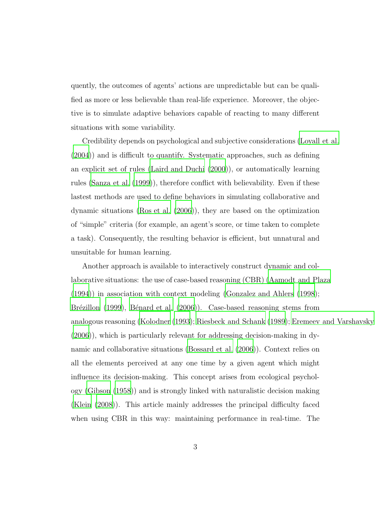quently, the outcomes of agents' actions are unpredictable but can be qualified as more or less believable than real-life experience. Moreover, the objective is to simulate adaptive behaviors capable of reacting to many different situations with some variability.

Credibility depends on psychological and subjective considerations [\(Loyall et al.](#page-23-3) [\(2004\)](#page-23-3)) and is difficult to quantify. Systematic approaches, such as defining an explicit set of rules [\(Laird and Duchi \(2000](#page-22-2))), or automatically learning rules [\(Sanza et al. \(1999](#page-23-4))), therefore conflict with believability. Even if these lastest methods are used to define behaviors in simulating collaborative and dynamic situations [\(Ros et al. \(2006](#page-23-5))), they are based on the optimization of "simple" criteria (for example, an agent's score, or time taken to complete a task). Consequently, the resulting behavior is efficient, but unnatural and unsuitable for human learning.

Another approach is available to interactively construct dynamic and collaborative situations: the use of case-based reasoning (CBR) [\(Aamodt and Plaza](#page-20-2) [\(1994\)](#page-20-2)) in association with context modeling [\(Gonzalez and Ahlers \(1998\)](#page-22-0); Brézillon (1999), Bénard et al. (2006)). Case-based reasoning stems from analogous reasoning [\(Kolodner \(1993\)](#page-22-3); [Riesbeck and Schank \(1989\)](#page-23-6); [Eremeev and Varshavsky](#page-21-3) [\(2006\)](#page-21-3)), which is particularly relevant for addressing decision-making in dynamic and collaborative situations [\(Bossard et al. \(2006\)](#page-20-4)). Context relies on all the elements perceived at any one time by a given agent which might influence its decision-making. This concept arises from ecological psychology [\(Gibson \(1958](#page-21-4))) and is strongly linked with naturalistic decision making [\(Klein \(2008\)](#page-22-4)). This article mainly addresses the principal difficulty faced when using CBR in this way: maintaining performance in real-time. The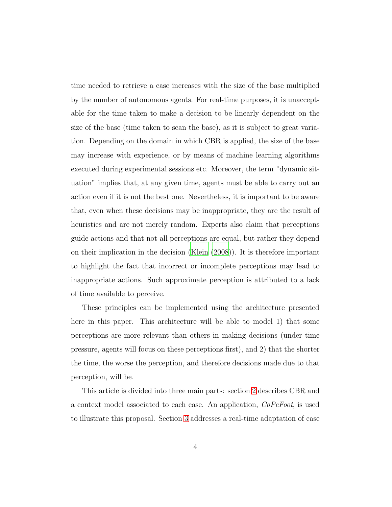time needed to retrieve a case increases with the size of the base multiplied by the number of autonomous agents. For real-time purposes, it is unacceptable for the time taken to make a decision to be linearly dependent on the size of the base (time taken to scan the base), as it is subject to great variation. Depending on the domain in which CBR is applied, the size of the base may increase with experience, or by means of machine learning algorithms executed during experimental sessions etc. Moreover, the term "dynamic situation" implies that, at any given time, agents must be able to carry out an action even if it is not the best one. Nevertheless, it is important to be aware that, even when these decisions may be inappropriate, they are the result of heuristics and are not merely random. Experts also claim that perceptions guide actions and that not all perceptions are equal, but rather they depend on their implication in the decision [\(Klein \(2008](#page-22-4))). It is therefore important to highlight the fact that incorrect or incomplete perceptions may lead to inappropriate actions. Such approximate perception is attributed to a lack of time available to perceive.

These principles can be implemented using the architecture presented here in this paper. This architecture will be able to model 1) that some perceptions are more relevant than others in making decisions (under time pressure, agents will focus on these perceptions first), and 2) that the shorter the time, the worse the perception, and therefore decisions made due to that perception, will be.

This article is divided into three main parts: section [2](#page-4-0) describes CBR and a context model associated to each case. An application, *CoPeFoot*, is used to illustrate this proposal. Section [3](#page-10-0) addresses a real-time adaptation of case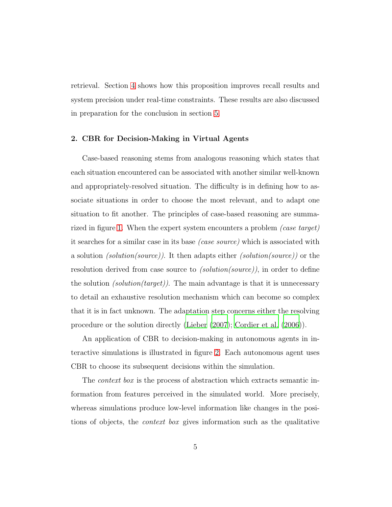retrieval. Section [4](#page-15-0) shows how this proposition improves recall results and system precision under real-time constraints. These results are also discussed in preparation for the conclusion in section [5.](#page-19-0)

#### <span id="page-4-0"></span>2. CBR for Decision-Making in Virtual Agents

Case-based reasoning stems from analogous reasoning which states that each situation encountered can be associated with another similar well-known and appropriately-resolved situation. The difficulty is in defining how to associate situations in order to choose the most relevant, and to adapt one situation to fit another. The principles of case-based reasoning are summarized in figure [1.](#page-27-0) When the expert system encounters a problem *(case target)* it searches for a similar case in its base *(case source)* which is associated with a solution *(solution(source))*. It then adapts either *(solution(source))* or the resolution derived from case source to *(solution(source))*, in order to define the solution *(solution(target))*. The main advantage is that it is unnecessary to detail an exhaustive resolution mechanism which can become so complex that it is in fact unknown. The adaptation step concerns either the resolving procedure or the solution directly [\(Lieber \(2007](#page-22-5)); [Cordier et al. \(2006](#page-21-5))).

An application of CBR to decision-making in autonomous agents in interactive simulations is illustrated in figure [2.](#page-28-0) Each autonomous agent uses CBR to choose its subsequent decisions within the simulation.

The *context box* is the process of abstraction which extracts semantic information from features perceived in the simulated world. More precisely, whereas simulations produce low-level information like changes in the positions of objects, the *context box* gives information such as the qualitative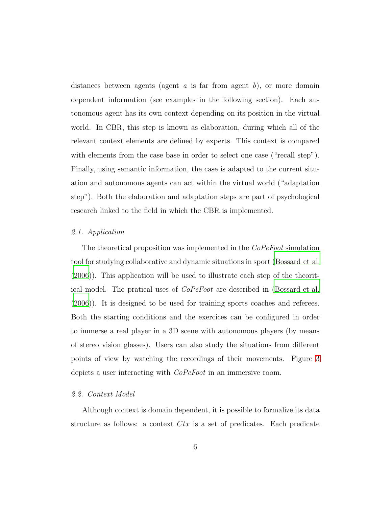distances between agents (agent *a* is far from agent *b*), or more domain dependent information (see examples in the following section). Each autonomous agent has its own context depending on its position in the virtual world. In CBR, this step is known as elaboration, during which all of the relevant context elements are defined by experts. This context is compared with elements from the case base in order to select one case ("recall step"). Finally, using semantic information, the case is adapted to the current situation and autonomous agents can act within the virtual world ("adaptation step"). Both the elaboration and adaptation steps are part of psychological research linked to the field in which the CBR is implemented.

#### *2.1. Application*

The theoretical proposition was implemented in the *CoPeFoot* simulation tool for studying collaborative and dynamic situations in sport [\(Bossard et al.](#page-20-4) [\(2006\)](#page-20-4)). This application will be used to illustrate each step of the theoritical model. The pratical uses of *CoPeFoot* are described in [\(Bossard et al.](#page-20-4) [\(2006\)](#page-20-4)). It is designed to be used for training sports coaches and referees. Both the starting conditions and the exercices can be configured in order to immerse a real player in a 3D scene with autonomous players (by means of stereo vision glasses). Users can also study the situations from different points of view by watching the recordings of their movements. Figure [3](#page-28-1) depicts a user interacting with *CoPeFoot* in an immersive room.

#### *2.2. Context Model*

Although context is domain dependent, it is possible to formalize its data structure as follows: a context  $Ctx$  is a set of predicates. Each predicate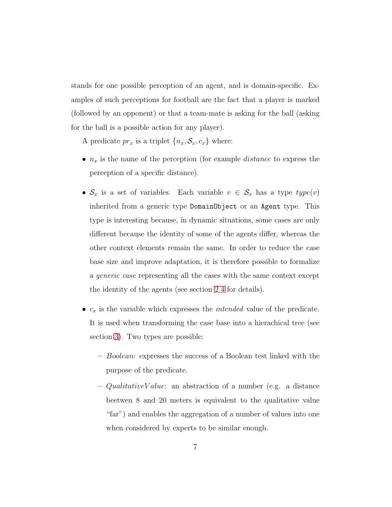stands for one possible perception of an agent, and is domain-specific. Examples of such perceptions for football are the fact that a player is marked (followed by an opponent) or that a team-mate is asking for the ball (asking for the ball is a possible action for any player).

A predicate  $pr_x$  is a triplet  $\{n_x, \mathcal{S}_x, c_x\}$  where:

- $n_x$  is the name of the perception (for example *distance* to express the perception of a specific distance).
- $S_x$  is a set of variables. Each variable  $v \in S_x$  has a type  $type(v)$ inherited from a generic type DomainObject or an Agent type. This type is interesting because, in dynamic situations, some cases are only different because the identity of some of the agents differ, whereas the other context elements remain the same. In order to reduce the case base size and improve adaptation, it is therefore possible to formalize a *generic case* representing all the cases with the same context except the identity of the agents (see section [2.4](#page-7-0) for details).
- $c_x$  is the variable which expresses the *intended* value of the predicate. It is used when transforming the case base into a hierachical tree (see section [3\)](#page-10-0). Two types are possible:
	- Boolean: expresses the success of a Boolean test linked with the purpose of the predicate.
	- $-$  QualitativeV alue: an abstraction of a number (e.g. a distance beetwen 8 and 20 meters is equivalent to the qualitative value "far") and enables the aggregation of a number of values into one when considered by experts to be similar enough.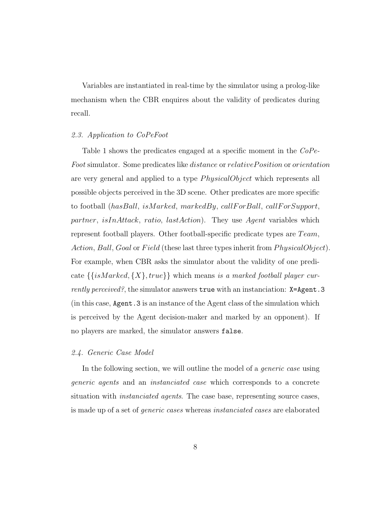Variables are instantiated in real-time by the simulator using a prolog-like mechanism when the CBR enquires about the validity of predicates during recall.

#### *2.3. Application to CoPeFoot*

Table 1 shows the predicates engaged at a specific moment in the *CoPe-*Foot simulator. Some predicates like *distance* or *relativePosition* or *orientation* are very general and applied to a type  $PhysicalObject$  which represents all possible objects perceived in the 3D scene. Other predicates are more specific to football (hasBall, isMarked, markedBy, callF or Ball, callF or Support, partner, isInAttack, ratio, lastAction). They use Agent variables which represent football players. Other football-specific predicate types are  $Team$ , Action, Ball, Goal or Field (these last three types inherit from  $PhysicalObject$ ). For example, when CBR asks the simulator about the validity of one predicate {{isMarked, {X}, true}} which means *is a marked football player currently perceived?*, the simulator answers **true** with an instanciation: **X=Agent.3** (in this case, Agent.3 is an instance of the Agent class of the simulation which is perceived by the Agent decision-maker and marked by an opponent). If no players are marked, the simulator answers false.

#### <span id="page-7-0"></span>*2.4. Generic Case Model*

In the following section, we will outline the model of a *generic case* using *generic agents* and an *instanciated case* which corresponds to a concrete situation with *instanciated agents*. The case base, representing source cases, is made up of a set of *generic cases* whereas *instanciated cases* are elaborated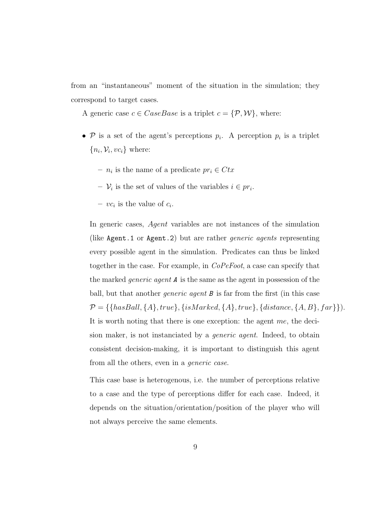from an "instantaneous" moment of the situation in the simulation; they correspond to target cases.

A generic case  $c \in CaseBase$  is a triplet  $c = \{P, W\}$ , where:

- $P$  is a set of the agent's perceptions  $p_i$ . A perception  $p_i$  is a triplet  ${n_i, \mathcal{V}_i, vc_i}$  where:
	- $n_i$  is the name of a predicate  $pr_i \in Ctx$
	- $\mathcal{V}_i$  is the set of values of the variables  $i \in pr_i$ .
	- $-vc_i$  is the value of  $c_i$ .

In generic cases, Agent variables are not instances of the simulation (like Agent.1 or Agent.2) but are rather *generic agents* representing every possible agent in the simulation. Predicates can thus be linked together in the case. For example, in *CoPeFoot*, a case can specify that the marked *generic agent* A is the same as the agent in possession of the ball, but that another *generic agent* B is far from the first (in this case  $P = \{\{hasBall, \{A\}, true\}, \{isMarked, \{A\}, true\}, \{distance, \{A, B\}, far\}\}\$ . It is worth noting that there is one exception: the agent me, the decision maker, is not instanciated by a *generic agent*. Indeed, to obtain consistent decision-making, it is important to distinguish this agent from all the others, even in a *generic case*.

This case base is heterogenous, i.e. the number of perceptions relative to a case and the type of perceptions differ for each case. Indeed, it depends on the situation/orientation/position of the player who will not always perceive the same elements.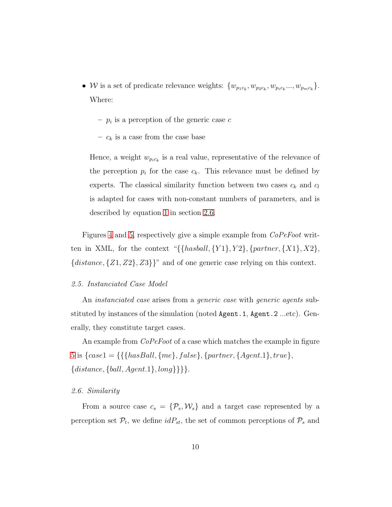- W is a set of predicate relevance weights:  $\{w_{p_1c_k}, w_{p_2c_k}, w_{p_ic_k}, ..., w_{p_mc_k}\}.$ Where:
	- $p_i$  is a perception of the generic case c
	- $c_k$  is a case from the case base

Hence, a weight  $w_{p_ic_k}$  is a real value, representative of the relevance of the perception  $p_i$  for the case  $c_k$ . This relevance must be defined by experts. The classical similarity function between two cases  $c_k$  and  $c_l$ is adapted for cases with non-constant numbers of parameters, and is described by equation [1](#page-10-1) in section [2.6.](#page-9-0)

Figures [4](#page-29-0) and [5,](#page-30-0) respectively give a simple example from *CoPeFoot* written in XML, for the context " $\{\{hashall, \{Y1\}, Y2\}, \{partner, \{X1\}, X2\},\}$  ${distance, {Z1, Z2}, Z3}$ " and of one generic case relying on this context.

#### *2.5. Instanciated Case Model*

An *instanciated case* arises from a *generic case* with *generic agents* substituted by instances of the simulation (noted Agent.1, Agent.2 ...etc). Generally, they constitute target cases.

An example from *CoPeFoot* of a case which matches the example in figure [5](#page-30-0) is  $\{case1 = \{\{\{hasBall, \{me\}, false\}, \{partner, \{Agent.1\}, true\},\}$  ${distance, \{ball, Agent.1\}, long\}}$ .

#### <span id="page-9-0"></span>*2.6. Similarity*

From a source case  $c_s = \{P_s, \mathcal{W}_s\}$  and a target case represented by a perception set  $\mathcal{P}_t$ , we define  $idP_{st}$ , the set of common perceptions of  $\mathcal{P}_s$  and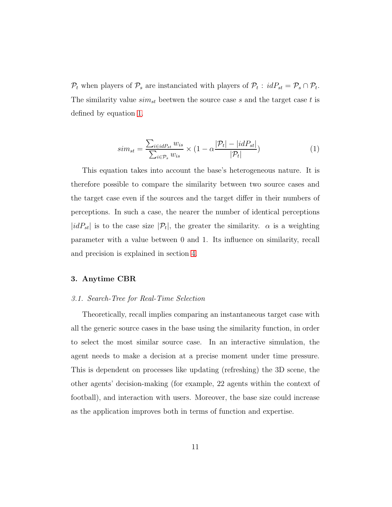$\mathcal{P}_t$  when players of  $\mathcal{P}_s$  are instanciated with players of  $\mathcal{P}_t$ :  $idP_{st} = \mathcal{P}_s \cap \mathcal{P}_t$ . The similarity value  $sim_{st}$  beetwen the source case s and the target case t is defined by equation [1.](#page-10-1)

<span id="page-10-1"></span>
$$
sim_{st} = \frac{\sum_{i \in idP_{st}} w_{is}}{\sum_{i \in P_s} w_{is}} \times (1 - \alpha \frac{|\mathcal{P}_t| - |idP_{st}|}{|\mathcal{P}_t|})
$$
(1)

This equation takes into account the base's heterogeneous nature. It is therefore possible to compare the similarity between two source cases and the target case even if the sources and the target differ in their numbers of perceptions. In such a case, the nearer the number of identical perceptions |idP<sub>st</sub>| is to the case size |P<sub>t</sub>|, the greater the similarity.  $\alpha$  is a weighting parameter with a value between 0 and 1. Its influence on similarity, recall and precision is explained in section [4.](#page-15-0)

#### <span id="page-10-0"></span>3. Anytime CBR

#### *3.1. Search-Tree for Real-Time Selection*

Theoretically, recall implies comparing an instantaneous target case with all the generic source cases in the base using the similarity function, in order to select the most similar source case. In an interactive simulation, the agent needs to make a decision at a precise moment under time pressure. This is dependent on processes like updating (refreshing) the 3D scene, the other agents' decision-making (for example, 22 agents within the context of football), and interaction with users. Moreover, the base size could increase as the application improves both in terms of function and expertise.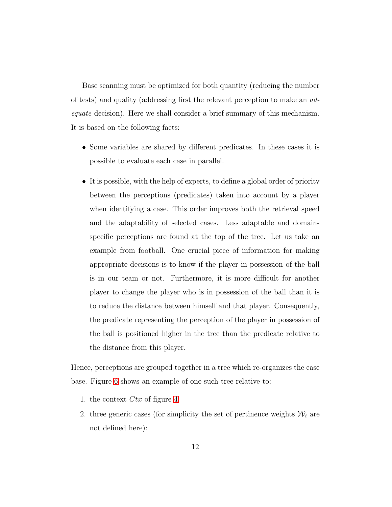Base scanning must be optimized for both quantity (reducing the number of tests) and quality (addressing first the relevant perception to make an *adequate* decision). Here we shall consider a brief summary of this mechanism. It is based on the following facts:

- Some variables are shared by different predicates. In these cases it is possible to evaluate each case in parallel.
- It is possible, with the help of experts, to define a global order of priority between the perceptions (predicates) taken into account by a player when identifying a case. This order improves both the retrieval speed and the adaptability of selected cases. Less adaptable and domainspecific perceptions are found at the top of the tree. Let us take an example from football. One crucial piece of information for making appropriate decisions is to know if the player in possession of the ball is in our team or not. Furthermore, it is more difficult for another player to change the player who is in possession of the ball than it is to reduce the distance between himself and that player. Consequently, the predicate representing the perception of the player in possession of the ball is positioned higher in the tree than the predicate relative to the distance from this player.

Hence, perceptions are grouped together in a tree which re-organizes the case base. Figure [6](#page-31-0) shows an example of one such tree relative to:

- 1. the context  $Ctx$  of figure [4,](#page-29-0)
- 2. three generic cases (for simplicity the set of pertinence weights  $\mathcal{W}_i$  are not defined here):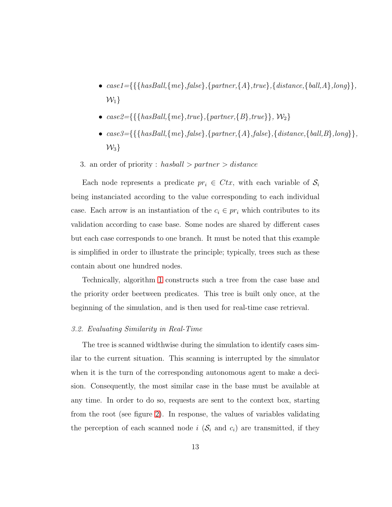- *case1=*{{{*hasBall,*{*me*}*,false*}*,*{*partner,*{*A*}*,true*}*,*{*distance,*{*ball,A*}*,long*}}*,*  $\mathcal{W}_1$
- $case2 = \{\{\{hasBall, \{me\}, true\}, \{partner, \{B\}, true\}\}, W_2\}$
- $\bullet\ case3=\{\{\{hasBall,\{ms\},false\},\{partner,\{A\},false\},\{distance,\{ball,B\},long\}\},$  $\mathcal{W}_3$
- 3. an order of priority : has ball  $>$  partner  $>$  distance

Each node represents a predicate  $pr_i \in Ctx$ , with each variable of  $S_i$ being instanciated according to the value corresponding to each individual case. Each arrow is an instantiation of the  $c_i \in pr_i$  which contributes to its validation according to case base. Some nodes are shared by different cases but each case corresponds to one branch. It must be noted that this example is simplified in order to illustrate the principle; typically, trees such as these contain about one hundred nodes.

<span id="page-12-0"></span>Technically, algorithm [1](#page-12-0) constructs such a tree from the case base and the priority order beetween predicates. This tree is built only once, at the beginning of the simulation, and is then used for real-time case retrieval.

#### *3.2. Evaluating Similarity in Real-Time*

The tree is scanned widthwise during the simulation to identify cases similar to the current situation. This scanning is interrupted by the simulator when it is the turn of the corresponding autonomous agent to make a decision. Consequently, the most similar case in the base must be available at any time. In order to do so, requests are sent to the context box, starting from the root (see figure [2\)](#page-28-0). In response, the values of variables validating the perception of each scanned node i  $(S<sub>i</sub>$  and  $c<sub>i</sub>)$  are transmitted, if they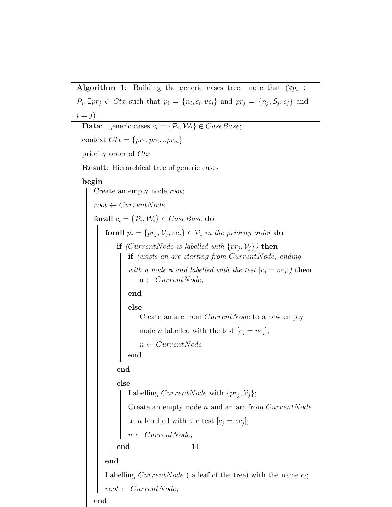Algorithm 1: Building the generic cases tree: note that  $(\forall p_i \in$  $\mathcal{P}_i, \exists pr_j \in Ctx$  such that  $p_i = \{n_i, c_i, vc_i\}$  and  $pr_j = \{n_j, S_j, c_j\}$  and  $i = j$ 

```
Data: generic cases c_i = \{P_i, W_i\} \in CaseBase;context Ctx = \{pr_1, pr_2, ..pr_m\}priority order of Ctx
Result: Hierarchical tree of generic cases
begin
    Create an empty node root;
   root \leftarrow CurrentNode;forall c_i = \{\mathcal{P}_i, \mathcal{W}_i\} \in CaseBase do
        forall p_j = \{pr_j, V_j, vc_j\} \in \mathcal{P}_i in the priority order do
            if (CurrentNode is labelled with \{pr_j, V_j\}) then
               if (exists an arc starting from CurrentNode, ending
               with a node n and labelled with the test [c_j = vc_j] then
               \vert n \leftarrow CurrentNode;
               end
               else
                   Create an arc from CurrentNode to a new empty
                   node n labelled with the test [c_j = vc_j];
                   n \leftarrow CurrentNodeend
           end
           else
               Labelling CurrentNode with \{pr_j, V_j\};Create an empty node n and an arc from CurrentNodeto n labelled with the test [c_j = vc_j];n \leftarrow CurrentNode;end
       end
        Labelling CurrentNode ( a leaf of the tree) with the name c_i;
       root \leftarrow CurrentNode;14
```
end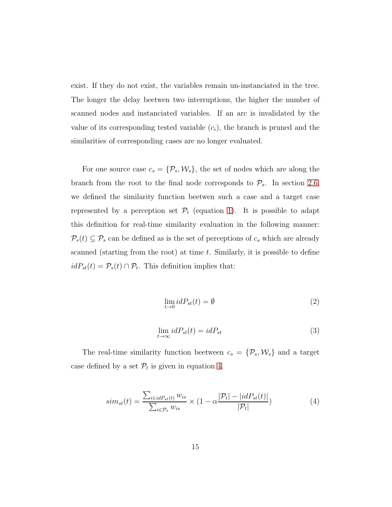exist. If they do not exist, the variables remain un-instanciated in the tree. The longer the delay beetwen two interruptions, the higher the number of scanned nodes and instanciated variables. If an arc is invalidated by the value of its corresponding tested variable  $(c_i)$ , the branch is pruned and the similarities of corresponding cases are no longer evaluated.

For one source case  $c_s = {\mathcal{P}_s, \mathcal{W}_s}$ , the set of nodes which are along the branch from the root to the final node corresponds to  $\mathcal{P}_{s}$ . In section [2.6,](#page-9-0) we defined the similarity function beetwen such a case and a target case represented by a perception set  $\mathcal{P}_t$  (equation [1\)](#page-10-1). It is possible to adapt this definition for real-time similarity evaluation in the following manner:  $P_s(t) \subseteq P_s$  can be defined as is the set of perceptions of  $c_s$  which are already scanned (starting from the root) at time t. Similarly, it is possible to define  $idP_{st}(t) = \mathcal{P}_s(t) \cap \mathcal{P}_t$ . This definition implies that:

$$
\lim_{t \to 0} idP_{st}(t) = \emptyset \tag{2}
$$

$$
\lim_{t \to \infty} idP_{st}(t) = idP_{st} \tag{3}
$$

The real-time similarity function beetween  $c_s = \{P_s, \mathcal{W}_s\}$  and a target case defined by a set  $\mathcal{P}_t$  is given in equation [4.](#page-14-0)

<span id="page-14-0"></span>
$$
sim_{st}(t) = \frac{\sum_{i \in idP_{st}(t)} w_{is}}{\sum_{i \in P_s} w_{is}} \times (1 - \alpha \frac{|\mathcal{P}_t| - |idP_{st}(t)|}{|\mathcal{P}_t|})
$$
(4)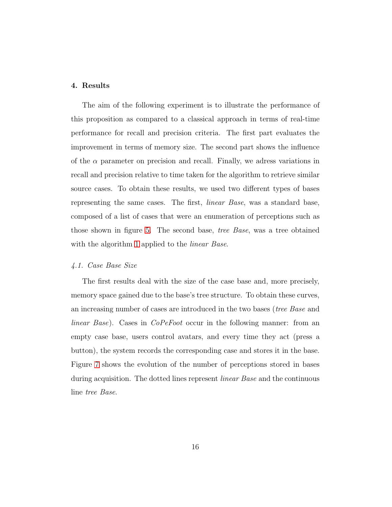#### <span id="page-15-0"></span>4. Results

The aim of the following experiment is to illustrate the performance of this proposition as compared to a classical approach in terms of real-time performance for recall and precision criteria. The first part evaluates the improvement in terms of memory size. The second part shows the influence of the  $\alpha$  parameter on precision and recall. Finally, we adress variations in recall and precision relative to time taken for the algorithm to retrieve similar source cases. To obtain these results, we used two different types of bases representing the same cases. The first, *linear Base*, was a standard base, composed of a list of cases that were an enumeration of perceptions such as those shown in figure [5.](#page-30-0) The second base, *tree Base*, was a tree obtained with the algorithm [1](#page-12-0) applied to the *linear Base*.

#### <span id="page-15-1"></span>*4.1. Case Base Size*

The first results deal with the size of the case base and, more precisely, memory space gained due to the base's tree structure. To obtain these curves, an increasing number of cases are introduced in the two bases (*tree Base* and *linear Base*). Cases in *CoPeFoot* occur in the following manner: from an empty case base, users control avatars, and every time they act (press a button), the system records the corresponding case and stores it in the base. Figure [7](#page-31-1) shows the evolution of the number of perceptions stored in bases during acquisition. The dotted lines represent *linear Base* and the continuous line *tree Base*.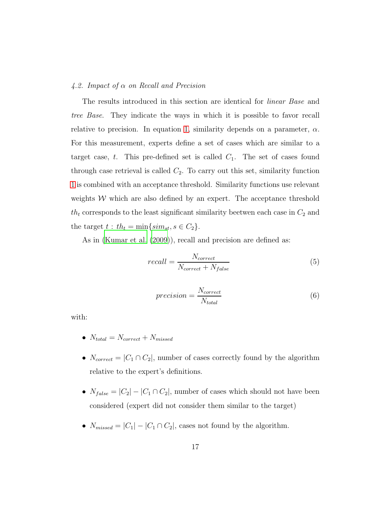#### *4.2. Impact of* α *on Recall and Precision*

The results introduced in this section are identical for *linear Base* and *tree Base*. They indicate the ways in which it is possible to favor recall relative to precision. In equation [1,](#page-10-1) similarity depends on a parameter,  $\alpha$ . For this measurement, experts define a set of cases which are similar to a target case, t. This pre-defined set is called  $C_1$ . The set of cases found through case retrieval is called  $C_2$ . To carry out this set, similarity function [1](#page-10-1) is combined with an acceptance threshold. Similarity functions use relevant weights  $W$  which are also defined by an expert. The acceptance threshold  $th_t$  corresponds to the least significant similarity beetwen each case in  $C_2$  and the target  $t : th_t = \min\{sim_t, s \in C_2\}.$ 

As in [\(Kumar et al. \(2009\)](#page-22-6)), recall and precision are defined as:

$$
recall = \frac{N_{correct}}{N_{correct} + N_{false}} \tag{5}
$$

$$
precision = \frac{N_{correct}}{N_{total}}\tag{6}
$$

with:

- $N_{total} = N_{correct} + N_{missed}$
- $N_{correct} = |C_1 \cap C_2|$ , number of cases correctly found by the algorithm relative to the expert's definitions.
- $N_{false} = |C_2| |C_1 \cap C_2|$ , number of cases which should not have been considered (expert did not consider them similar to the target)
- $N_{missed} = |C_1| |C_1 \cap C_2|$ , cases not found by the algorithm.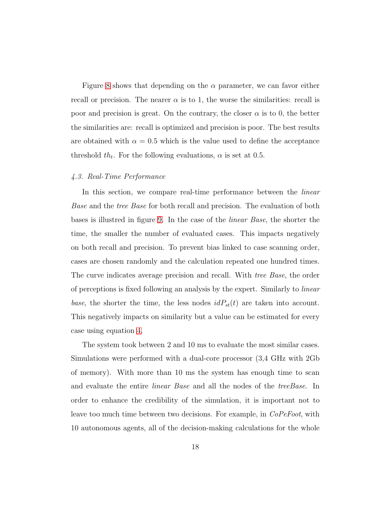Figure [8](#page-32-0) shows that depending on the  $\alpha$  parameter, we can favor either recall or precision. The nearer  $\alpha$  is to 1, the worse the similarities: recall is poor and precision is great. On the contrary, the closer  $\alpha$  is to 0, the better the similarities are: recall is optimized and precision is poor. The best results are obtained with  $\alpha = 0.5$  which is the value used to define the acceptance threshold  $th_t$ . For the following evaluations,  $\alpha$  is set at 0.5.

#### *4.3. Real-Time Performance*

In this section, we compare real-time performance between the *linear Base* and the *tree Base* for both recall and precision. The evaluation of both bases is illustred in figure [9.](#page-33-0) In the case of the *linear Base*, the shorter the time, the smaller the number of evaluated cases. This impacts negatively on both recall and precision. To prevent bias linked to case scanning order, cases are chosen randomly and the calculation repeated one hundred times. The curve indicates average precision and recall. With *tree Base*, the order of perceptions is fixed following an analysis by the expert. Similarly to *linear base*, the shorter the time, the less nodes  $idP_{st}(t)$  are taken into account. This negatively impacts on similarity but a value can be estimated for every case using equation [4.](#page-14-0)

The system took between 2 and 10 ms to evaluate the most similar cases. Simulations were performed with a dual-core processor (3,4 GHz with 2Gb of memory). With more than 10 ms the system has enough time to scan and evaluate the entire *linear Base* and all the nodes of the *treeBase*. In order to enhance the credibility of the simulation, it is important not to leave too much time between two decisions. For example, in *CoPeFoot*, with 10 autonomous agents, all of the decision-making calculations for the whole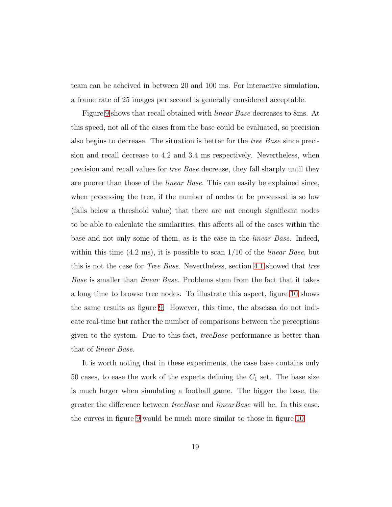team can be acheived in between 20 and 100 ms. For interactive simulation, a frame rate of 25 images per second is generally considered acceptable.

Figure [9](#page-33-0) shows that recall obtained with *linear Base* decreases to 8ms. At this speed, not all of the cases from the base could be evaluated, so precision also begins to decrease. The situation is better for the *tree Base* since precision and recall decrease to 4.2 and 3.4 ms respectively. Nevertheless, when precision and recall values for *tree Base* decrease, they fall sharply until they are poorer than those of the *linear Base*. This can easily be explained since, when processing the tree, if the number of nodes to be processed is so low (falls below a threshold value) that there are not enough significant nodes to be able to calculate the similarities, this affects all of the cases within the base and not only some of them, as is the case in the *linear Base*. Indeed, within this time (4.2 ms), it is possible to scan 1/10 of the *linear Base*, but this is not the case for *Tree Base*. Nevertheless, section [4.1](#page-15-1) showed that *tree Base* is smaller than *linear Base*. Problems stem from the fact that it takes a long time to browse tree nodes. To illustrate this aspect, figure [10](#page-34-0) shows the same results as figure [9.](#page-33-0) However, this time, the abscissa do not indicate real-time but rather the number of comparisons between the perceptions given to the system. Due to this fact, *treeBase* performance is better than that of *linear Base*.

It is worth noting that in these experiments, the case base contains only 50 cases, to ease the work of the experts defining the  $C_1$  set. The base size is much larger when simulating a football game. The bigger the base, the greater the difference between *treeBase* and *linearBase* will be. In this case, the curves in figure [9](#page-33-0) would be much more similar to those in figure [10.](#page-34-0)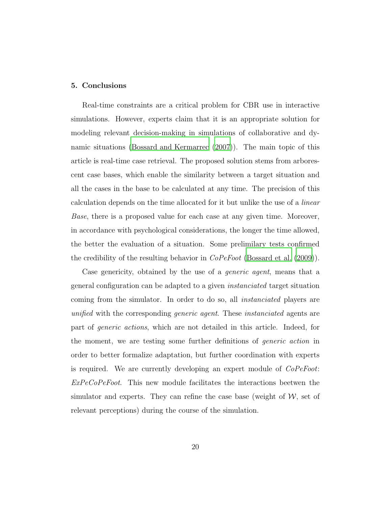#### <span id="page-19-0"></span>5. Conclusions

Real-time constraints are a critical problem for CBR use in interactive simulations. However, experts claim that it is an appropriate solution for modeling relevant decision-making in simulations of collaborative and dynamic situations [\(Bossard and Kermarrec \(2007\)](#page-21-6)). The main topic of this article is real-time case retrieval. The proposed solution stems from arborescent case bases, which enable the similarity between a target situation and all the cases in the base to be calculated at any time. The precision of this calculation depends on the time allocated for it but unlike the use of a *linear Base*, there is a proposed value for each case at any given time. Moreover, in accordance with psychological considerations, the longer the time allowed, the better the evaluation of a situation. Some prelimilary tests confirmed the credibility of the resulting behavior in *CoPeFoot* [\(Bossard et al. \(2009](#page-20-5))).

Case genericity, obtained by the use of a *generic agent*, means that a general configuration can be adapted to a given *instanciated* target situation coming from the simulator. In order to do so, all *instanciated* players are *unified* with the corresponding *generic agent*. These *instanciated* agents are part of *generic actions*, which are not detailed in this article. Indeed, for the moment, we are testing some further definitions of *generic action* in order to better formalize adaptation, but further coordination with experts is required. We are currently developing an expert module of *CoPeFoot*: *ExPeCoPeFoot*. This new module facilitates the interactions beetwen the simulator and experts. They can refine the case base (weight of  $W$ , set of relevant perceptions) during the course of the simulation.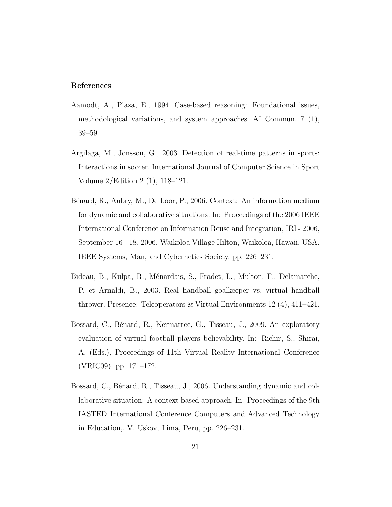#### References

- <span id="page-20-2"></span>Aamodt, A., Plaza, E., 1994. Case-based reasoning: Foundational issues, methodological variations, and system approaches. AI Commun. 7 (1), 39–59.
- <span id="page-20-1"></span>Argilaga, M., Jonsson, G., 2003. Detection of real-time patterns in sports: Interactions in soccer. International Journal of Computer Science in Sport Volume 2/Edition 2 (1), 118–121.
- <span id="page-20-3"></span>Bénard, R., Aubry, M., De Loor, P., 2006. Context: An information medium for dynamic and collaborative situations. In: Proceedings of the 2006 IEEE International Conference on Information Reuse and Integration, IRI - 2006, September 16 - 18, 2006, Waikoloa Village Hilton, Waikoloa, Hawaii, USA. IEEE Systems, Man, and Cybernetics Society, pp. 226–231.
- <span id="page-20-0"></span>Bideau, B., Kulpa, R., Ménardais, S., Fradet, L., Multon, F., Delamarche, P. et Arnaldi, B., 2003. Real handball goalkeeper vs. virtual handball thrower. Presence: Teleoperators & Virtual Environments 12 (4), 411–421.
- <span id="page-20-5"></span>Bossard, C., Bénard, R., Kermarrec, G., Tisseau, J., 2009. An exploratory evaluation of virtual football players believability. In: Richir, S., Shirai, A. (Eds.), Proceedings of 11th Virtual Reality International Conference (VRIC09). pp. 171–172.
- <span id="page-20-4"></span>Bossard, C., Bénard, R., Tisseau, J., 2006. Understanding dynamic and collaborative situation: A context based approach. In: Proceedings of the 9th IASTED International Conference Computers and Advanced Technology in Education,. V. Uskov, Lima, Peru, pp. 226–231.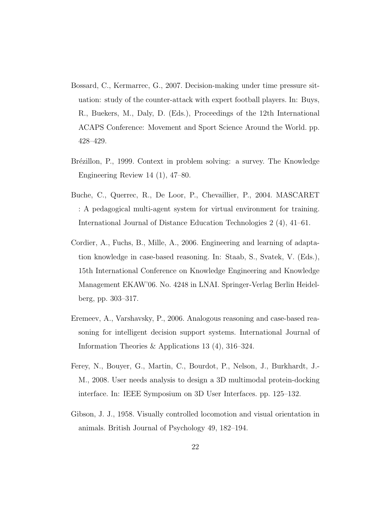- <span id="page-21-6"></span>Bossard, C., Kermarrec, G., 2007. Decision-making under time pressure situation: study of the counter-attack with expert football players. In: Buys, R., Buekers, M., Daly, D. (Eds.), Proceedings of the 12th International ACAPS Conference: Movement and Sport Science Around the World. pp. 428–429.
- <span id="page-21-2"></span>Brézillon, P., 1999. Context in problem solving: a survey. The Knowledge Engineering Review 14 (1), 47–80.
- <span id="page-21-1"></span>Buche, C., Querrec, R., De Loor, P., Chevaillier, P., 2004. MASCARET : A pedagogical multi-agent system for virtual environment for training. International Journal of Distance Education Technologies 2 (4), 41–61.
- <span id="page-21-5"></span>Cordier, A., Fuchs, B., Mille, A., 2006. Engineering and learning of adaptation knowledge in case-based reasoning. In: Staab, S., Svatek, V. (Eds.), 15th International Conference on Knowledge Engineering and Knowledge Management EKAW'06. No. 4248 in LNAI. Springer-Verlag Berlin Heidelberg, pp. 303–317.
- <span id="page-21-3"></span>Eremeev, A., Varshavsky, P., 2006. Analogous reasoning and case-based reasoning for intelligent decision support systems. International Journal of Information Theories & Applications 13 (4), 316–324.
- <span id="page-21-0"></span>Ferey, N., Bouyer, G., Martin, C., Bourdot, P., Nelson, J., Burkhardt, J.- M., 2008. User needs analysis to design a 3D multimodal protein-docking interface. In: IEEE Symposium on 3D User Interfaces. pp. 125–132.
- <span id="page-21-4"></span>Gibson, J. J., 1958. Visually controlled locomotion and visual orientation in animals. British Journal of Psychology 49, 182–194.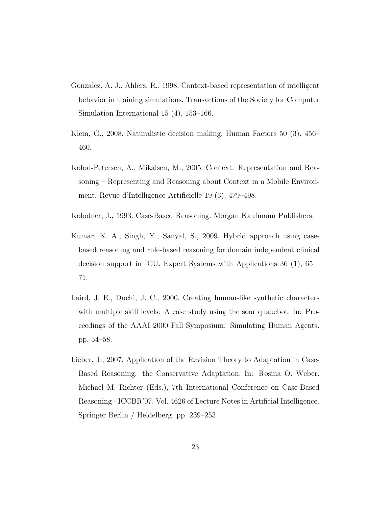- <span id="page-22-0"></span>Gonzalez, A. J., Ahlers, R., 1998. Context-based representation of intelligent behavior in training simulations. Transactions of the Society for Computer Simulation International 15 (4), 153–166.
- <span id="page-22-4"></span>Klein, G., 2008. Naturalistic decision making. Human Factors 50 (3), 456– 460.
- <span id="page-22-1"></span>Kofod-Petersen, A., Mikalsen, M., 2005. Context: Representation and Reasoning – Representing and Reasoning about Context in a Mobile Environment. Revue d'Intelligence Artificielle 19 (3), 479–498.
- <span id="page-22-3"></span>Kolodner, J., 1993. Case-Based Reasoning. Morgan Kaufmann Publishers.
- <span id="page-22-6"></span>Kumar, K. A., Singh, Y., Sanyal, S., 2009. Hybrid approach using casebased reasoning and rule-based reasoning for domain independent clinical decision support in ICU. Expert Systems with Applications 36 (1), 65 – 71.
- <span id="page-22-2"></span>Laird, J. E., Duchi, J. C., 2000. Creating human-like synthetic characters with multiple skill levels: A case study using the soar quakebot. In: Proceedings of the AAAI 2000 Fall Symposium: Simulating Human Agents. pp. 54–58.
- <span id="page-22-5"></span>Lieber, J., 2007. Application of the Revision Theory to Adaptation in Case-Based Reasoning: the Conservative Adaptation. In: Rosina O. Weber, Michael M. Richter (Eds.), 7th International Conference on Case-Based Reasoning - ICCBR'07. Vol. 4626 of Lecture Notes in Artificial Intelligence. Springer Berlin / Heidelberg, pp. 239–253.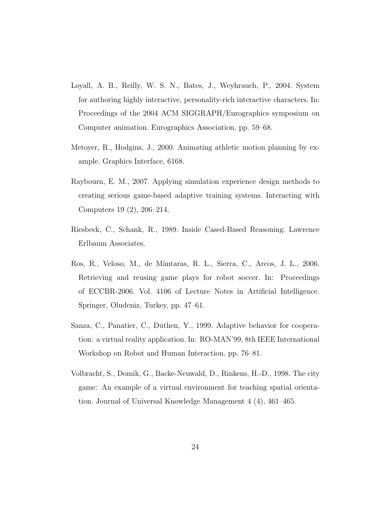- <span id="page-23-3"></span>Loyall, A. B., Reilly, W. S. N., Bates, J., Weyhrauch, P., 2004. System for authoring highly interactive, personality-rich interactive characters. In: Proceedings of the 2004 ACM SIGGRAPH/Eurographics symposium on Computer animation. Eurographics Association, pp. 59–68.
- <span id="page-23-2"></span>Metoyer, R., Hodgins, J., 2000. Animating athletic motion planning by example. Graphics Interface, 6168.
- <span id="page-23-1"></span>Raybourn, E. M., 2007. Applying simulation experience design methods to creating serious game-based adaptive training systems. Interacting with Computers 19 (2), 206–214.
- <span id="page-23-6"></span>Riesbeck, C., Schank, R., 1989. Inside Cased-Based Reasoning. Lawrence Erlbaum Associates.
- <span id="page-23-5"></span>Ros, R., Veloso, M., de M`antaras, R. L., Sierra, C., Arcos, J. L., 2006. Retrieving and reusing game plays for robot soccer. In: Proceedings of ECCBR-2006. Vol. 4106 of Lecture Notes in Artificial Intelligence. Springer, Oludeniz, Turkey, pp. 47–61.
- <span id="page-23-4"></span>Sanza, C., Panatier, C., Duthen, Y., 1999. Adaptive behavior for cooperation: a virtual reality application. In: RO-MAN'99, 8th IEEE International Workshop on Robot and Human Interaction. pp. 76–81.
- <span id="page-23-0"></span>Volbracht, S., Domik, G., Backe-Neuwald, D., Rinkens, H.-D., 1998. The city game: An example of a virtual environment for teaching spatial orientation. Journal of Universal Knowledge Management 4 (4), 461–465.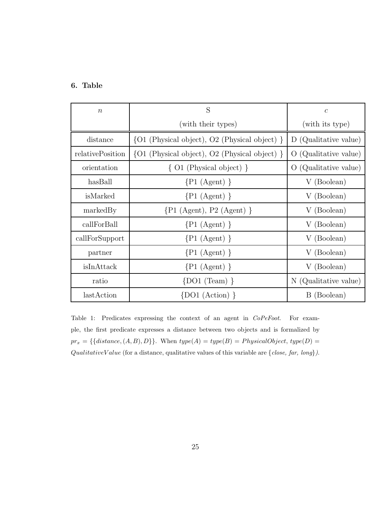## 6. Table

| $\boldsymbol{n}$ | S                                                                | $\mathcal{C}$                    |
|------------------|------------------------------------------------------------------|----------------------------------|
|                  | (with their types)                                               | (with its type)                  |
| distance         | $\{O1 \text{ (Physical object)}, O2 \text{ (Physical object)}\}$ | D (Qualitative value)            |
| relativePosition | $\{O1 \text{ (Physical object)}, O2 \text{ (Physical object)}\}$ | (Qualitative value)<br>$\lambda$ |
| orientation      | $\{O1$ (Physical object) }                                       | (Qualitative value)<br>$\theta$  |
| hasBall          | $\{P1 (Agent) \}$                                                | V (Boolean)                      |
| isMarked         | $\{P1 (Agent) \}$                                                | V (Boolean)                      |
| markedBy         | $\{P1 \text{ (Agent)}, P2 \text{ (Agent)}\}$                     | (Boolean)<br>V                   |
| callForBall      | $\{P1 (Agent) \}$                                                | V (Boolean)                      |
| callForSupport   | $\{P1 (Agent) \}$                                                | V (Boolean)                      |
| partner          | $\{P1 (Agent) \}$                                                | V (Boolean)                      |
| isInAttack       | $\{P1 (Agent) \}$                                                | V (Boolean)                      |
| ratio            | $\{DO1 (Team) \}$                                                | N (Qualitative value)            |
| lastAction       | $\{D01 \ (Action) \}$                                            | B (Boolean)                      |

Table 1: Predicates expressing the context of an agent in CoPeFoot. For example, the first predicate expresses a distance between two objects and is formalized by  $pr_x = \{\{distance, (A, B), D\}\}\.$  When  $type(A) = type(B) = PhysicalObject, type(D) =$  $QualitativeValue$  (for a distance, qualitative values of this variable are  ${close, far, long}.$ ).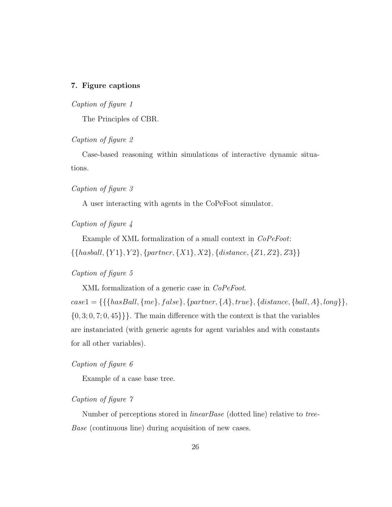#### 7. Figure captions

*Caption of figure 1*

The Principles of CBR.

*Caption of figure 2*

Case-based reasoning within simulations of interactive dynamic situations.

*Caption of figure 3*

A user interacting with agents in the CoPeFoot simulator.

*Caption of figure 4*

Example of XML formalization of a small context in *CoPeFoot*:  $\{\{hashall, \{Y1\}, Y2\}, \{partner, \{X1\}, X2\}, \{distance, \{Z1, Z2\}, Z3\}\}$ 

#### *Caption of figure 5*

XML formalization of a generic case in *CoPeFoot*.

 $\label{eq:case1} case1 = \{\{\{hasBall, \{me\}, false\}, \{partner, \{A\}, true\}, \{distance, \{ball, A\}, long\}\},$  $\{0, 3, 0, 7, 0, 45\}\}.$  The main difference with the context is that the variables are instanciated (with generic agents for agent variables and with constants for all other variables).

#### *Caption of figure 6*

Example of a case base tree.

### *Caption of figure 7*

Number of perceptions stored in *linearBase* (dotted line) relative to *tree-Base* (continuous line) during acquisition of new cases.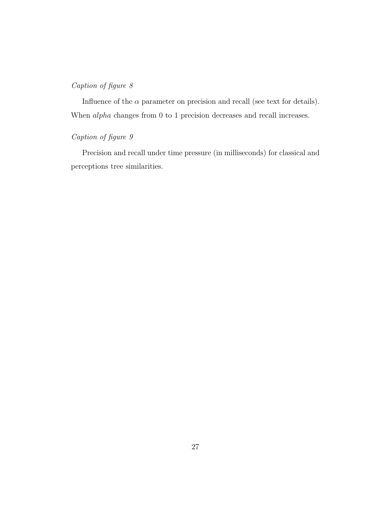## *Caption of figure 8*

Influence of the  $\alpha$  parameter on precision and recall (see text for details). When alpha changes from 0 to 1 precision decreases and recall increases.

## *Caption of figure 9*

Precision and recall under time pressure (in milliseconds) for classical and perceptions tree similarities.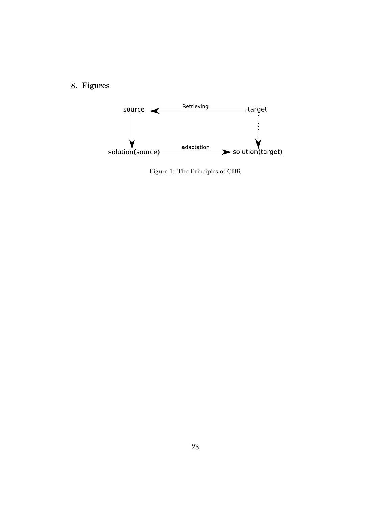## 8. Figures



<span id="page-27-0"></span>Figure 1: The Principles of CBR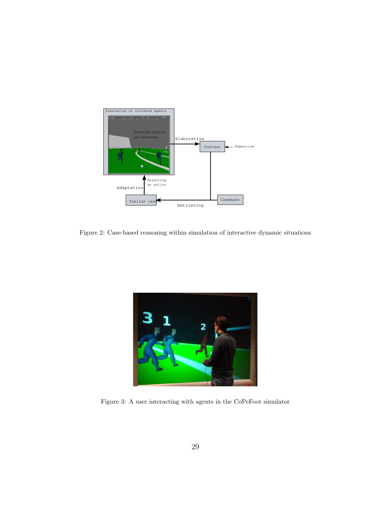

<span id="page-28-0"></span>Figure 2: Case-based reasoning within simulation of interactive dynamic situations



<span id="page-28-1"></span>Figure 3: A user interacting with agents in the CoPeFoot simulator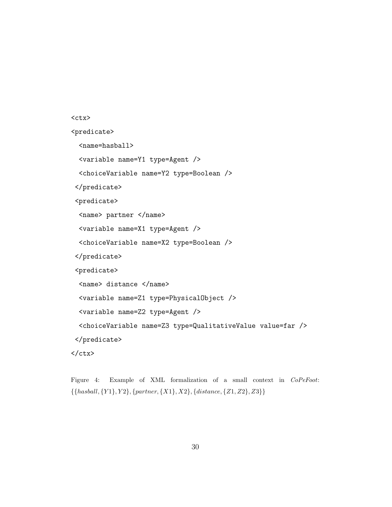```
<ctx><predicate>
  <name=hasball>
 <variable name=Y1 type=Agent />
 <choiceVariable name=Y2 type=Boolean />
</predicate>
<predicate>
  <name> partner </name>
  <variable name=X1 type=Agent />
  <choiceVariable name=X2 type=Boolean />
 </predicate>
 <predicate>
  <name> distance </name>
  <variable name=Z1 type=PhysicalObject />
 <variable name=Z2 type=Agent />
 <choiceVariable name=Z3 type=QualitativeValue value=far />
 </predicate>
\langle/\text{ctx}\rangle
```
<span id="page-29-0"></span>Figure 4: Example of XML formalization of a small context in CoPeFoot:  $\{\{hashall, {Y1}, {Y2}, {partner, {X1}, {X2}, {distance, {Z1}, {Z2}, {Z3}}\}\}\$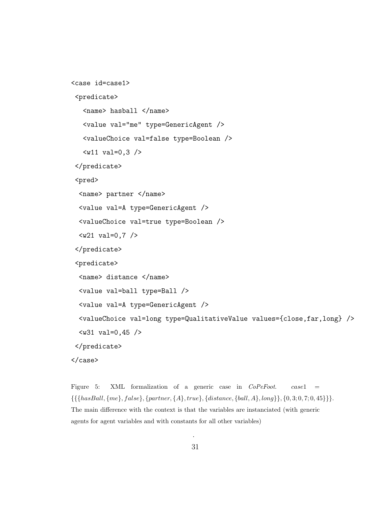```
<case id=case1>
 <predicate>
   <name> hasball </name>
   <value val="me" type=GenericAgent />
   <valueChoice val=false type=Boolean />
   \langle \text{w11 val=0,3 } \rangle</predicate>
 <pred>
  <name> partner </name>
  <value val=A type=GenericAgent />
  <valueChoice val=true type=Boolean />
  <w21 val=0,7 />
 </predicate>
 <predicate>
  <name> distance </name>
  <value val=ball type=Ball />
  <value val=A type=GenericAgent />
  <valueChoice val=long type=QualitativeValue values={close,far,long} />
  <w31 val=0,45 />
 </predicate>
</case>
```
<span id="page-30-0"></span>Figure 5: XML formalization of a generic case in  $CoPeFoot.$  case1 =  $\{ {\{\{\textit{hasBall}, \{\textit{me}\}, \textit{false}\}, \{\textit{partner}, \{\textit{A}\}, \textit{true}\}, \{\textit{distance}, \{\textit{ball}, \textit{A}\}, \textit{long}\}\}, \{0, 3; 0, 7; 0, 45\} \}.$ The main difference with the context is that the variables are instanciated (with generic agents for agent variables and with constants for all other variables)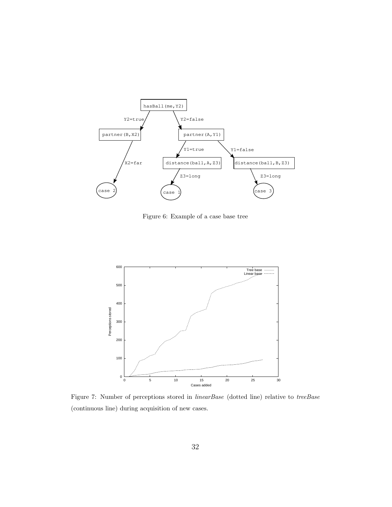

<span id="page-31-0"></span>Figure 6: Example of a case base tree



<span id="page-31-1"></span>Figure 7: Number of perceptions stored in linearBase (dotted line) relative to treeBase (continuous line) during acquisition of new cases.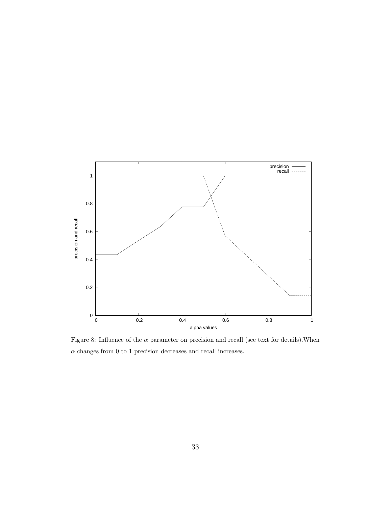

<span id="page-32-0"></span>Figure 8: Influence of the  $\alpha$  parameter on precision and recall (see text for details). When  $\alpha$  changes from 0 to 1 precision decreases and recall increases.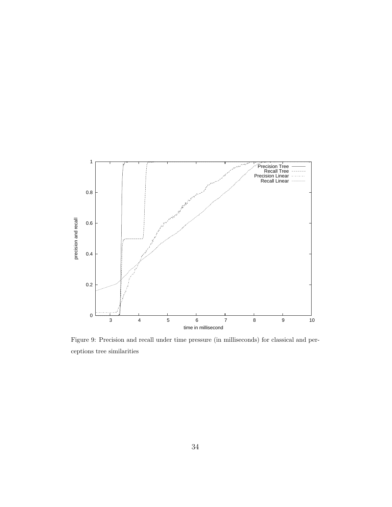

<span id="page-33-0"></span>Figure 9: Precision and recall under time pressure (in milliseconds) for classical and perceptions tree similarities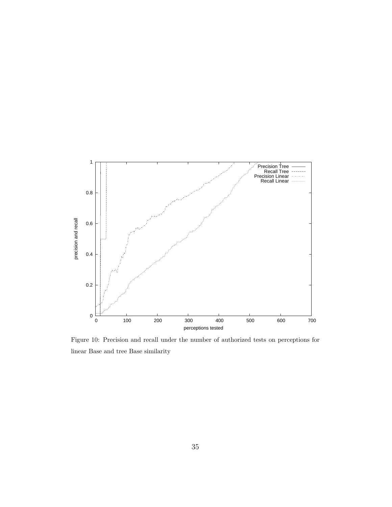

<span id="page-34-0"></span>Figure 10: Precision and recall under the number of authorized tests on perceptions for linear Base and tree Base similarity